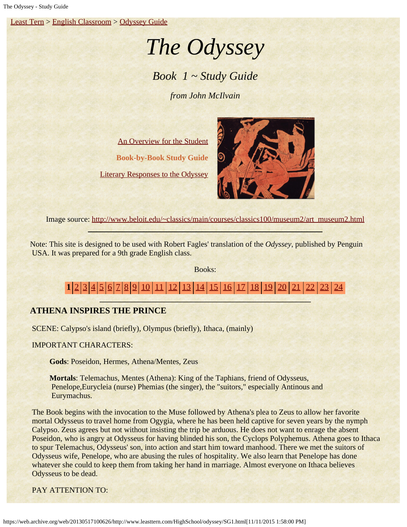[Least Tern](https://web.archive.org/web/20130517100626/http://www.leasttern.com/index.html) > [English Classroom](https://web.archive.org/web/20130517100626/http://www.leasttern.com/Engclass.html) > [Odyssey Guide](https://web.archive.org/web/20130517100626/http://www.leasttern.com/HighSchool/odyssey/Odyssey.html)

# *The Odyssey*

## *Book 1 ~ Study Guide*

*from John McIlvain*

[An Overview for the Student](https://web.archive.org/web/20130517100626/http://www.leasttern.com/HighSchool/odyssey/Odyssey1.html) **Book-by-Book Study Guide** [Literary Responses to the Odyssey](https://web.archive.org/web/20130517100626/http://www.leasttern.com/HighSchool/odyssey/Odysseyresponses.html)



Image source: [http://www.beloit.edu/~classics/main/courses/classics100/museum2/art\\_museum2.html](https://web.archive.org/web/20130517100626/http://www.beloit.edu/~classics/main/courses/classics100/museum2/art_museum2.html)

Note: This site is designed to be used with Robert Fagles' translation of the *Odyssey*, published by Penguin USA. It was prepared for a 9th grade English class.

Books:

1 [2](https://web.archive.org/web/20130517100626/http://www.leasttern.com/HighSchool/odyssey/SG2.html) [3](https://web.archive.org/web/20130517100626/http://www.leasttern.com/HighSchool/odyssey/SG3.html) [4](https://web.archive.org/web/20130517100626/http://www.leasttern.com/HighSchool/odyssey/SG4.html) [5](https://web.archive.org/web/20130517100626/http://www.leasttern.com/HighSchool/odyssey/SG5.html) [6](https://web.archive.org/web/20130517100626/http://www.leasttern.com/HighSchool/odyssey/SG6.html) [7](https://web.archive.org/web/20130517100626/http://www.leasttern.com/HighSchool/odyssey/SG7.html) [8](https://web.archive.org/web/20130517100626/http://www.leasttern.com/HighSchool/odyssey/SG8.html) [9](https://web.archive.org/web/20130517100626/http://www.leasttern.com/HighSchool/odyssey/SG9.html) [10](https://web.archive.org/web/20130517100626/http://www.leasttern.com/HighSchool/odyssey/SG10.html) [11](https://web.archive.org/web/20130517100626/http://www.leasttern.com/HighSchool/odyssey/SG11.html) [12](https://web.archive.org/web/20130517100626/http://www.leasttern.com/HighSchool/odyssey/SG12.html) [13](https://web.archive.org/web/20130517100626/http://www.leasttern.com/HighSchool/odyssey/SG13.html) [14](https://web.archive.org/web/20130517100626/http://www.leasttern.com/HighSchool/odyssey/SG14.html) [15](https://web.archive.org/web/20130517100626/http://www.leasttern.com/HighSchool/odyssey/SG15.html) [16](https://web.archive.org/web/20130517100626/http://www.leasttern.com/HighSchool/odyssey/SG16.html) [17](https://web.archive.org/web/20130517100626/http://www.leasttern.com/HighSchool/odyssey/SG17.html) [18](https://web.archive.org/web/20130517100626/http://www.leasttern.com/HighSchool/odyssey/SG18.html) [19](https://web.archive.org/web/20130517100626/http://www.leasttern.com/HighSchool/odyssey/SG19.html) [20](https://web.archive.org/web/20130517100626/http://www.leasttern.com/HighSchool/odyssey/SG20.html) [21](https://web.archive.org/web/20130517100626/http://www.leasttern.com/HighSchool/odyssey/SG21.html) [22](https://web.archive.org/web/20130517100626/http://www.leasttern.com/HighSchool/odyssey/SG22.html)

### **ATHENA INSPIRES THE PRINCE**

SCENE: Calypso's island (briefly), Olympus (briefly), Ithaca, (mainly)

IMPORTANT CHARACTERS:

**Gods**: Poseidon, Hermes, Athena/Mentes, Zeus

**Mortals**: Telemachus, Mentes (Athena): King of the Taphians, friend of Odysseus, Penelope,Eurycleia (nurse) Phemias (the singer), the "suitors," especially Antinous and Eurymachus.

 The Book begins with the invocation to the Muse followed by Athena's plea to Zeus to allow her favorite mortal Odysseus to travel home from Ogygia, where he has been held captive for seven years by the nymph Calypso. Zeus agrees but not without insisting the trip be arduous. He does not want to enrage the absent Poseidon, who is angry at Odysseus for having blinded his son, the Cyclops Polyphemus. Athena goes to Ithaca to spur Telemachus, Odysseus' son, into action and start him toward manhood. There we met the suitors of Odysseus wife, Penelope, who are abusing the rules of hospitality. We also learn that Penelope has done whatever she could to keep them from taking her hand in marriage. Almost everyone on Ithaca believes Odysseus to be dead.

PAY ATTENTION TO: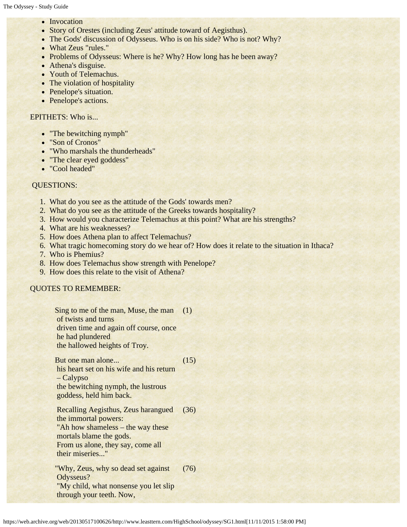- Invocation
- Story of Orestes (including Zeus' attitude toward of Aegisthus).
- The Gods' discussion of Odysseus. Who is on his side? Who is not? Why?
- What Zeus "rules."
- Problems of Odysseus: Where is he? Why? How long has he been away?
- Athena's disguise.
- Youth of Telemachus.
- The violation of hospitality
- Penelope's situation.
- Penelope's actions.

#### EPITHETS: Who is...

- "The bewitching nymph"
- "Son of Cronos"
- "Who marshals the thunderheads"
- "The clear eyed goddess"
- "Cool headed"

#### QUESTIONS:

- 1. What do you see as the attitude of the Gods' towards men?
- 2. What do you see as the attitude of the Greeks towards hospitality?
- 3. How would you characterize Telemachus at this point? What are his strengths?
- 4. What are his weaknesses?
- 5. How does Athena plan to affect Telemachus?
- 6. What tragic homecoming story do we hear of? How does it relate to the situation in Ithaca?
- 7. Who is Phemius?
- 8. How does Telemachus show strength with Penelope?
- 9. How does this relate to the visit of Athena?

#### QUOTES TO REMEMBER:

Sing to me of the man, Muse, the man (1) of twists and turns driven time and again off course, once he had plundered the hallowed heights of Troy.

But one man alone... his heart set on his wife and his return – Calypso the bewitching nymph, the lustrous goddess, held him back. (15) Recalling Aegisthus, Zeus harangued (36)

 the immortal powers: "Ah how shameless – the way these mortals blame the gods. From us alone, they say, come all their miseries..."

"Why, Zeus, why so dead set against Odysseus? "My child, what nonsense you let slip through your teeth. Now, (76)